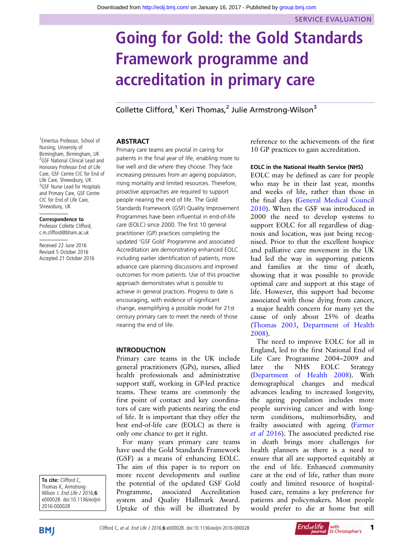# Going for Gold: the Gold Standards Framework programme and accreditation in primary care

Collette Clifford,<sup>1</sup> Keri Thomas,<sup>2</sup> Julie Armstrong-Wilson<sup>3</sup>

## **ABSTRACT**

Primary care teams are pivotal in caring for patients in the final year of life, enabling more to live well and die where they choose. They face increasing pressures from an ageing population, rising mortality and limited resources. Therefore, proactive approaches are required to support people nearing the end of life. The Gold Standards Framework (GSF) Quality Improvement Programmes have been influential in end-of-life care (EOLC) since 2000. The first 10 general practitioner (GP) practices completing the updated 'GSF Gold' Programme and associated Accreditation are demonstrating enhanced EOLC including earlier identification of patients, more advance care planning discussions and improved outcomes for more patients. Use of this proactive approach demonstrates what is possible to achieve in general practices. Progress to date is encouraging, with evidence of significant change, exemplifying a possible model for 21st century primary care to meet the needs of those nearing the end of life.

#### INTRODUCTION

Primary care teams in the UK include general practitioners (GPs), nurses, allied health professionals and administrative support staff, working in GP-led practice teams. These teams are commonly the first point of contact and key coordinators of care with patients nearing the end of life. It is important that they offer the best end-of-life care (EOLC) as there is only one chance to get it right.

For many years primary care teams have used the Gold Standards Framework (GSF) as a means of enhancing EOLC. The aim of this paper is to report on more recent developments and outline the potential of the updated GSF Gold Programme, associated Accreditation system and Quality Hallmark Award. Uptake of this will be illustrated by

reference to the achievements of the first 10 GP practices to gain accreditation.

#### EOLC in the National Health Service (NHS)

EOLC may be defined as care for people who may be in their last year, months and weeks of life, rather than those in the final days [\(General Medical Council](#page-8-0) [2010\)](#page-8-0). When the GSF was introduced in 2000 the need to develop systems to support EOLC for all regardless of diagnosis and location, was just being recognised. Prior to that the excellent hospice and palliative care movement in the UK had led the way in supporting patients and families at the time of death, showing that it was possible to provide optimal care and support at this stage of life. However, this support had become associated with those dying from cancer, a major health concern for many yet the cause of only about 25% of deaths ([Thomas 2003,](#page-9-0) [Department of Health](#page-8-0) [2008\)](#page-8-0).

The need to improve EOLC for all in England, led to the first National End of Life Care Programme 2004–2009 and later the NHS EOLC Strategy ([Department of Health 2008\)](#page-8-0). With demographical changes and medical advances leading to increased longevity, the ageing population includes more people surviving cancer and with longterm conditions, multimorbidity, and frailty associated with ageing [\(Farmer](#page-8-0) et al [2016](#page-8-0)). The associated predicted rise in death brings more challenges for health planners as there is a need to ensure that all are supported equitably at the end of life. Enhanced community care at the end of life, rather than more costly and limited resource of hospitalbased care, remains a key preference for patients and policymakers. Most people would prefer to die at home but still

1 Emeritus Professor, School of Nursing, University of Birmingham, Birmingham, UK <sup>2</sup>GSF National Clinical Lead and Honorary Professor End of Life Care, GSF Centre CIC for End of Life Care, Shrewsbury, UK <sup>3</sup>GSF Nurse Lead for Hospitals and Primary Care, GSF Centre CIC for End of Life Care, Shrewsbury, UK

#### Correspondence to Professor Collette Clifford, c.m.clifford@bham.ac.uk

Received 22 June 2016 Revised 5 October 2016 Accepted 21 October 2016

To cite: Clifford C,

Thomas K, Armstrong-Wilson J. End Life J 2016;6: e000028. doi:10.1136/eoljnl-2016-000028



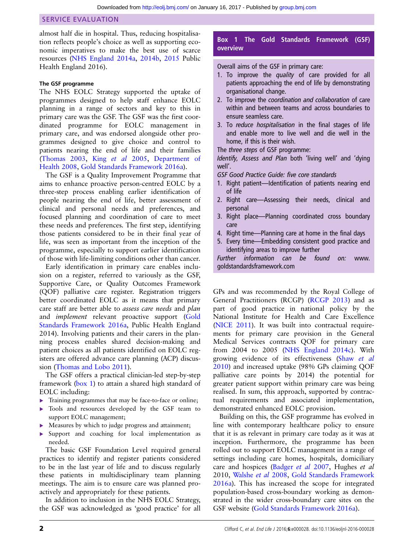<span id="page-1-0"></span>almost half die in hospital. Thus, reducing hospitalisation reflects people's choice as well as supporting economic imperatives to make the best use of scarce resources [\(NHS England 2014a,](#page-9-0) [2014b](#page-9-0), [2015](#page-9-0) Public Health England 2016).

#### The GSF programme

The NHS EOLC Strategy supported the uptake of programmes designed to help staff enhance EOLC planning in a range of sectors and key to this in primary care was the GSF. The GSF was the first coordinated programme for EOLC management in primary care, and was endorsed alongside other programmes designed to give choice and control to patients nearing the end of life and their families ([Thomas 2003](#page-9-0), King [et al](#page-8-0) 2005, [Department of](#page-8-0) [Health 2008,](#page-8-0) [Gold Standards Framework 2016a\)](#page-8-0).

The GSF is a Quality Improvement Programme that aims to enhance proactive person-centred EOLC by a three-step process enabling earlier identification of people nearing the end of life, better assessment of clinical and personal needs and preferences, and focused planning and coordination of care to meet these needs and preferences. The first step, identifying those patients considered to be in their final year of life, was seen as important from the inception of the programme, especially to support earlier identification of those with life-limiting conditions other than cancer.

Early identification in primary care enables inclusion on a register, referred to variously as the GSF, Supportive Care, or Quality Outcomes Framework (QOF) palliative care register. Registration triggers better coordinated EOLC as it means that primary care staff are better able to assess care needs and plan and implement relevant proactive support [\(Gold](#page-8-0) [Standards Framework 2016a](#page-8-0), Public Health England 2014). Involving patients and their carers in the planning process enables shared decision-making and patient choices as all patients identified on EOLC registers are offered advance care planning (ACP) discussion [\(Thomas and Lobo 2011](#page-9-0)).

The GSF offers a practical clinician-led step-by-step framework (box 1) to attain a shared high standard of EOLC including:

- ▸ Training programmes that may be face-to-face or online;
- ▸ Tools and resources developed by the GSF team to support EOLC management;
- ▸ Measures by which to judge progress and attainment;
- ▸ Support and coaching for local implementation as needed.

The basic GSF Foundation Level required general practices to identify and register patients considered to be in the last year of life and to discuss regularly these patients in multidisciplinary team planning meetings. The aim is to ensure care was planned proactively and appropriately for these patients.

In addition to inclusion in the NHS EOLC Strategy, the GSF was acknowledged as 'good practice' for all

#### Box 1 The Gold Standards Framework (GSF) overview

Overall aims of the GSF in primary care:

- 1. To improve the *quality* of care provided for all patients approaching the end of life by demonstrating organisational change.
- 2. To improve the coordination and collaboration of care within and between teams and across boundaries to ensure seamless care.
- 3. To reduce hospitalisation in the final stages of life and enable more to live well and die well in the home, if this is their wish.

The three steps of GSF programme:

Identify, Assess and Plan both 'living well' and 'dying well'.

GSF Good Practice Guide: five core standards

- 1. Right patient—Identification of patients nearing end of life
- 2. Right care—Assessing their needs, clinical and personal
- 3. Right place—Planning coordinated cross boundary care
- 4. Right time—Planning care at home in the final days
- 5. Every time—Embedding consistent good practice and identifying areas to improve further

Further information can be found on: [www.](http://www.goldstandardsframework.com) [goldstandardsframework.com](http://www.goldstandardsframework.com)

GPs and was recommended by the Royal College of General Practitioners (RCGP) ([RCGP 2013\)](#page-9-0) and as part of good practice in national policy by the National Institute for Health and Care Excellence ([NICE 2011\)](#page-9-0). It was built into contractual requirements for primary care provision in the General Medical Services contracts QOF for primary care from 2004 to 2005 ([NHS England 2014c](#page-9-0)). With growing evidence of its effectiveness [\(Shaw](#page-9-0) et al [2010\)](#page-9-0) and increased uptake (98% GPs claiming QOF palliative care points by 2014) the potential for greater patient support within primary care was being realised. In sum, this approach, supported by contractual requirements and associated implementation, demonstrated enhanced EOLC provision.

Building on this, the GSF programme has evolved in line with contemporary healthcare policy to ensure that it is as relevant in primary care today as it was at inception. Furthermore, the programme has been rolled out to support EOLC management in a range of settings including care homes, hospitals, domiciliary care and hospices [\(Badger](#page-8-0) et al 2007, Hughes et al 2010, [Walshe](#page-9-0) et al 2008, [Gold Standards Framework](#page-8-0) [2016a](#page-8-0)). This has increased the scope for integrated population-based cross-boundary working as demonstrated in the wider cross-boundary care sites on the GSF website [\(Gold Standards Framework 2016a\)](#page-8-0).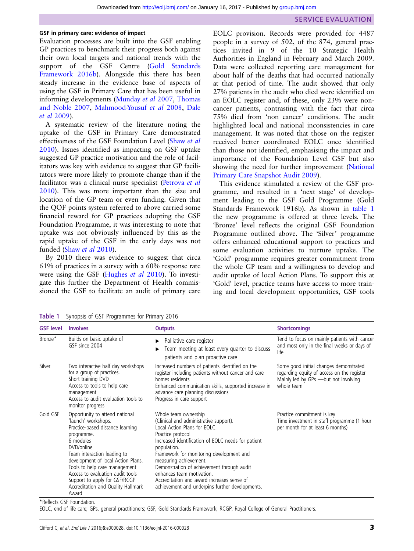#### <span id="page-2-0"></span>GSF in primary care: evidence of impact

Evaluation processes are built into the GSF enabling GP practices to benchmark their progress both against their own local targets and national trends with the support of the GSF Centre [\(Gold Standards](#page-8-0) [Framework 2016b\)](#page-8-0). Alongside this there has been steady increase in the evidence base of aspects of using the GSF in Primary Care that has been useful in informing developments ([Munday](#page-9-0) et al 2007, [Thomas](#page-9-0) [and Noble 2007](#page-9-0), [Mahmood-Yousuf](#page-9-0) et al 2008, [Dale](#page-8-0) et al [2009](#page-8-0)).

A systematic review of the literature noting the uptake of the GSF in Primary Care demonstrated effectiveness of the GSF Foundation Level [\(Shaw](#page-9-0) et al [2010\)](#page-9-0). Issues identified as impacting on GSF uptake suggested GP practice motivation and the role of facilitators was key with evidence to suggest that GP facilitators were more likely to promote change than if the facilitator was a clinical nurse specialist [\(Petrova](#page-9-0) et al [2010\)](#page-9-0). This was more important than the size and location of the GP team or even funding. Given that the QOF points system referred to above carried some financial reward for GP practices adopting the GSF Foundation Programme, it was interesting to note that uptake was not obviously influenced by this as the rapid uptake of the GSF in the early days was not funded (Shaw et al [2010\)](#page-9-0).

By 2010 there was evidence to suggest that circa 61% of practices in a survey with a 60% response rate were using the GSF ([Hughes](#page-8-0) et al 2010). To investigate this further the Department of Health commissioned the GSF to facilitate an audit of primary care EOLC provision. Records were provided for 4487 people in a survey of 502, of the 874, general practices invited in 9 of the 10 Strategic Health Authorities in England in February and March 2009. Data were collected reporting care management for about half of the deaths that had occurred nationally at that period of time. The audit showed that only 27% patients in the audit who died were identified on an EOLC register and, of these, only 23% were noncancer patients, contrasting with the fact that circa 75% died from 'non cancer' conditions. The audit highlighted local and national inconsistencies in care management. It was noted that those on the register received better coordinated EOLC once identified than those not identified, emphasising the impact and importance of the Foundation Level GSF but also showing the need for further improvement ([National](#page-9-0) [Primary Care Snapshot Audit 2009](#page-9-0)).

This evidence stimulated a review of the GSF programme, and resulted in a 'next stage' of development leading to the GSF Gold Programme (Gold Standards Framework 1916b). As shown in table 1 the new programme is offered at three levels. The 'Bronze' level reflects the original GSF Foundation Programme outlined above. The 'Silver' programme offers enhanced educational support to practices and some evaluation activities to nurture uptake. The 'Gold' programme requires greater commitment from the whole GP team and a willingness to develop and audit uptake of local Action Plans. To support this at 'Gold' level, practice teams have access to more training and local development opportunities, GSF tools

Table 1 Synopsis of GSF Programmes for Primary 2016

| <b>GSF</b> level | <b>Involves</b>                                                                                                                                                                                                                                                                                                                                              | <b>Outputs</b>                                                                                                                                                                                                                                                                                                                                                                                                                             | <b>Shortcomings</b>                                                                                                                         |
|------------------|--------------------------------------------------------------------------------------------------------------------------------------------------------------------------------------------------------------------------------------------------------------------------------------------------------------------------------------------------------------|--------------------------------------------------------------------------------------------------------------------------------------------------------------------------------------------------------------------------------------------------------------------------------------------------------------------------------------------------------------------------------------------------------------------------------------------|---------------------------------------------------------------------------------------------------------------------------------------------|
| Bronze*          | Builds on basic uptake of<br>GSF since 2004                                                                                                                                                                                                                                                                                                                  | Palliative care register<br>▶<br>Team meeting at least every quarter to discuss<br>▶<br>patients and plan proactive care                                                                                                                                                                                                                                                                                                                   | Tend to focus on mainly patients with cancer<br>and most only in the final weeks or days of<br>life                                         |
| Silver           | Two interactive half day workshops<br>for a group of practices.<br>Short training DVD<br>Access to tools to help care<br>management<br>Access to audit evaluation tools to<br>monitor progress                                                                                                                                                               | Increased numbers of patients identified on the<br>register including patients without cancer and care<br>homes residents<br>Enhanced communication skills, supported increase in<br>advance care planning discussions<br>Progress in care support                                                                                                                                                                                         | Some good initial changes demonstrated<br>regarding equity of access on the register<br>Mainly led by GPs - but not involving<br>whole team |
| Gold GSF         | Opportunity to attend national<br>'launch' workshops.<br>Practice-based distance learning<br>programme.<br>6 modules<br>DVD/online<br>Team interaction leading to<br>development of local Action Plans.<br>Tools to help care management<br>Access to evaluation audit tools<br>Support to apply for GSF/RCGP<br>Accreditation and Quality Hallmark<br>Award | Whole team ownership<br>(Clinical and administrative support).<br>Local Action Plans for EOLC.<br>Practice protocol<br>Increased identification of EOLC needs for patient<br>population.<br>Framework for monitoring development and<br>measuring achievement.<br>Demonstration of achievement through audit<br>enhances team motivation.<br>Accreditation and award increases sense of<br>achievement and underpins further developments. | Practice commitment is key<br>Time investment in staff programme (1 hour<br>per month for at least 6 months)                                |

\*Reflects GSF Foundation.

EOLC, end-of-life care; GPs, general practitioners; GSF, Gold Standards Framework; RCGP, Royal College of General Practitioners.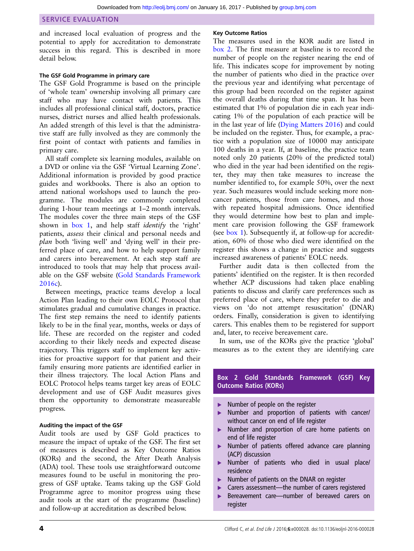<span id="page-3-0"></span>and increased local evaluation of progress and the potential to apply for accreditation to demonstrate success in this regard. This is described in more detail below.

#### The GSF Gold Programme in primary care

The GSF Gold Programme is based on the principle of 'whole team' ownership involving all primary care staff who may have contact with patients. This includes all professional clinical staff, doctors, practice nurses, district nurses and allied health professionals. An added strength of this level is that the administrative staff are fully involved as they are commonly the first point of contact with patients and families in primary care.

All staff complete six learning modules, available on a DVD or online via the GSF 'Virtual Learning Zone'. Additional information is provided by good practice guides and workbooks. There is also an option to attend national workshops used to launch the programme. The modules are commonly completed during 1-hour team meetings at 1–2 month intervals. The modules cover the three main steps of the GSF shown in [box 1](#page-1-0), and help staff *identify* the 'right' patients, assess their clinical and personal needs and plan both 'living well' and 'dying well' in their preferred place of care, and how to help support family and carers into bereavement. At each step staff are introduced to tools that may help that process available on the GSF website ([Gold Standards Framework](#page-8-0) [2016c](#page-8-0)).

Between meetings, practice teams develop a local Action Plan leading to their own EOLC Protocol that stimulates gradual and cumulative changes in practice. The first step remains the need to identify patients likely to be in the final year, months, weeks or days of life. These are recorded on the register and coded according to their likely needs and expected disease trajectory. This triggers staff to implement key activities for proactive support for that patient and their family ensuring more patients are identified earlier in their illness trajectory. The local Action Plans and EOLC Protocol helps teams target key areas of EOLC development and use of GSF Audit measures gives them the opportunity to demonstrate measureable progress.

#### Auditing the impact of the GSF

Audit tools are used by GSF Gold practices to measure the impact of uptake of the GSF. The first set of measures is described as Key Outcome Ratios (KORs) and the second, the After Death Analysis (ADA) tool. These tools use straightforward outcome measures found to be useful in monitoring the progress of GSF uptake. Teams taking up the GSF Gold Programme agree to monitor progress using these audit tools at the start of the programme (baseline) and follow-up at accreditation as described below.

#### Key Outcome Ratios

The measures used in the KOR audit are listed in box 2. The first measure at baseline is to record the number of people on the register nearing the end of life. This indicates scope for improvement by noting the number of patients who died in the practice over the previous year and identifying what percentage of this group had been recorded on the register against the overall deaths during that time span. It has been estimated that 1% of population die in each year indicating 1% of the population of each practice will be in the last year of life [\(Dying Matters 2016](#page-8-0)) and could be included on the register. Thus, for example, a practice with a population size of 10000 may anticipate 100 deaths in a year. If, at baseline, the practice team noted only 20 patients (20% of the predicted total) who died in the year had been identified on the register, they may then take measures to increase the number identified to, for example 50%, over the next year. Such measures would include seeking more noncancer patients, those from care homes, and those with repeated hospital admissions. Once identified they would determine how best to plan and implement care provision following the GSF framework (see  $box 1$ ). Subsequently if, at follow-up for accreditation, 60% of those who died were identified on the register this shows a change in practice and suggests increased awareness of patients' EOLC needs.

Further audit data is then collected from the patients' identified on the register. It is then recorded whether ACP discussions had taken place enabling patients to discuss and clarify care preferences such as preferred place of care, where they prefer to die and views on 'do not attempt resuscitation' (DNAR) orders. Finally, consideration is given to identifying carers. This enables them to be registered for support and, later, to receive bereavement care.

In sum, use of the KORs give the practice 'global' measures as to the extent they are identifying care

#### Box 2 Gold Standards Framework (GSF) Key Outcome Ratios (KORs)

- ▸ Number of people on the register
- ▸ Number and proportion of patients with cancer/ without cancer on end of life register
- ▸ Number and proportion of care home patients on end of life register
- ▸ Number of patients offered advance care planning (ACP) discussion
- ▸ Number of patients who died in usual place/ residence
- ▸ Number of patients on the DNAR on register
- ▸ Carers assessment—the number of carers registered
- ▸ Bereavement care—number of bereaved carers on register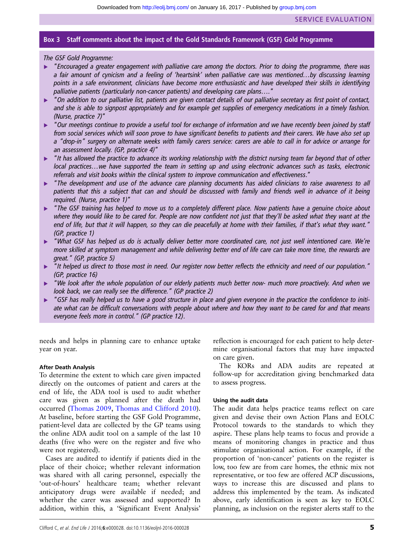#### Box 3 Staff comments about the impact of the Gold Standards Framework (GSF) Gold Programme

#### The GSF Gold Programme:

- ▸ "Encouraged a greater engagement with palliative care among the doctors. Prior to doing the programme, there was a fair amount of cynicism and a feeling of 'heartsink' when palliative care was mentioned…by discussing learning points in a safe environment, clinicians have become more enthusiastic and have developed their skills in identifying palliative patients (particularly non-cancer patients) and developing care plans…."
- ▸ "On addition to our palliative list, patients are given contact details of our palliative secretary as first point of contact, and she is able to signpost appropriately and for example get supplies of emergency medications in a timely fashion. (Nurse, practice 7)"
- ▸ "Our meetings continue to provide a useful tool for exchange of information and we have recently been joined by staff from social services which will soon prove to have significant benefits to patients and their carers. We have also set up a "drop-in" surgery on alternate weeks with family carers service: carers are able to call in for advice or arrange for an assessment locally. (GP, practice 4)"
- ▸ "It has allowed the practice to advance its working relationship with the district nursing team far beyond that of other local practices…we have supported the team in setting up and using electronic advances such as tasks, electronic referrals and visit books within the clinical system to improve communication and effectiveness."
- ▸ "The development and use of the advance care planning documents has aided clinicians to raise awareness to all patients that this a subject that can and should be discussed with family and friends well in advance of it being required. (Nurse, practice 1)"
- ▸ "The GSF training has helped to move us to a completely different place. Now patients have a genuine choice about where they would like to be cared for. People are now confident not just that they'll be asked what they want at the end of life, but that it will happen, so they can die peacefully at home with their families, if that's what they want." (GP, practice 1)
- ▸ "What GSF has helped us do is actually deliver better more coordinated care, not just well intentioned care. We're more skilled at symptom management and while delivering better end of life care can take more time, the rewards are great." (GP, practice 5)
- ▸ "It helped us direct to those most in need. Our register now better reflects the ethnicity and need of our population." (GP, practice 16)
- ▸ "We look after the whole population of our elderly patients much better now- much more proactively. And when we look back, we can really see the difference." (GP practice 2)
- ▸ "GSF has really helped us to have a good structure in place and given everyone in the practice the confidence to initiate what can be difficult conversations with people about where and how they want to be cared for and that means everyone feels more in control." (GP practice 12).

needs and helps in planning care to enhance uptake year on year.

#### After Death Analysis

To determine the extent to which care given impacted directly on the outcomes of patient and carers at the end of life, the ADA tool is used to audit whether care was given as planned after the death had occurred ([Thomas 2009](#page-9-0), [Thomas and Clifford 2010\)](#page-9-0). At baseline, before starting the GSF Gold Programme, patient-level data are collected by the GP teams using the online ADA audit tool on a sample of the last 10 deaths (five who were on the register and five who were not registered).

Cases are audited to identify if patients died in the place of their choice; whether relevant information was shared with all caring personnel, especially the 'out-of-hours' healthcare team; whether relevant anticipatory drugs were available if needed; and whether the carer was assessed and supported? In addition, within this, a 'Significant Event Analysis' reflection is encouraged for each patient to help determine organisational factors that may have impacted on care given.

The KORs and ADA audits are repeated at follow-up for accreditation giving benchmarked data to assess progress.

#### Using the audit data

The audit data helps practice teams reflect on care given and devise their own Action Plans and EOLC Protocol towards to the standards to which they aspire. These plans help teams to focus and provide a means of monitoring changes in practice and thus stimulate organisational action. For example, if the proportion of 'non-cancer' patients on the register is low, too few are from care homes, the ethnic mix not representative, or too few are offered ACP discussions, ways to increase this are discussed and plans to address this implemented by the team. As indicated above, early identification is seen as key to EOLC planning, as inclusion on the register alerts staff to the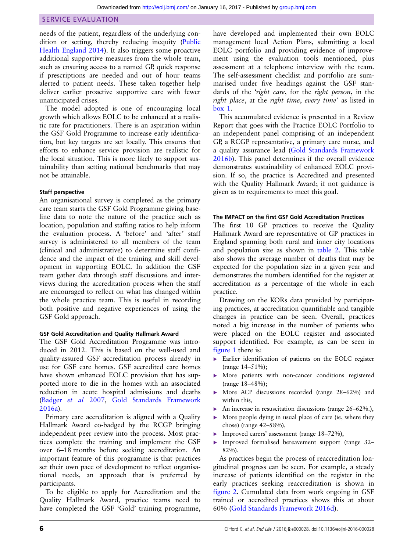needs of the patient, regardless of the underlying condition or setting, thereby reducing inequity ([Public](#page-9-0) [Health England 2014\)](#page-9-0). It also triggers some proactive additional supportive measures from the whole team, such as ensuring access to a named GP, quick response if prescriptions are needed and out of hour teams alerted to patient needs. These taken together help deliver earlier proactive supportive care with fewer unanticipated crises.

The model adopted is one of encouraging local growth which allows EOLC to be enhanced at a realistic rate for practitioners. There is an aspiration within the GSF Gold Programme to increase early identification, but key targets are set locally. This ensures that efforts to enhance service provision are realistic for the local situation. This is more likely to support sustainability than setting national benchmarks that may not be attainable.

#### Staff perspective

An organisational survey is completed as the primary care team starts the GSF Gold Programme giving baseline data to note the nature of the practice such as location, population and staffing ratios to help inform the evaluation process. A 'before' and 'after' staff survey is administered to all members of the team (clinical and administrative) to determine staff confidence and the impact of the training and skill development in supporting EOLC. In addition the GSF team gather data through staff discussions and interviews during the accreditation process when the staff are encouraged to reflect on what has changed within the whole practice team. This is useful in recording both positive and negative experiences of using the GSF Gold approach.

#### GSF Gold Accreditation and Quality Hallmark Award

The GSF Gold Accreditation Programme was introduced in 2012. This is based on the well-used and quality-assured GSF accreditation process already in use for GSF care homes. GSF accredited care homes have shown enhanced EOLC provision that has supported more to die in the homes with an associated reduction in acute hospital admissions and deaths ([Badger](#page-8-0) et al 2007, [Gold Standards Framework](#page-8-0) [2016a](#page-8-0)).

Primary care accreditation is aligned with a Quality Hallmark Award co-badged by the RCGP bringing independent peer review into the process. Most practices complete the training and implement the GSF over 6–18 months before seeking accreditation. An important feature of this programme is that practices set their own pace of development to reflect organisational needs, an approach that is preferred by participants.

To be eligible to apply for Accreditation and the Quality Hallmark Award, practice teams need to have completed the GSF 'Gold' training programme, have developed and implemented their own EOLC management local Action Plans, submitting a local EOLC portfolio and providing evidence of improvement using the evaluation tools mentioned, plus assessment at a telephone interview with the team. The self-assessment checklist and portfolio are summarised under five headings against the GSF standards of the 'right care, for the right person, in the right place, at the right time, every time' as listed in [box 1.](#page-1-0)

This accumulated evidence is presented in a Review Report that goes with the Practice EOLC Portfolio to an independent panel comprising of an independent GP, a RCGP representative, a primary care nurse, and a quality assurance lead [\(Gold Standards Framework](#page-8-0) [2016b\)](#page-8-0). This panel determines if the overall evidence demonstrates sustainability of enhanced EOLC provision. If so, the practice is Accredited and presented with the Quality Hallmark Award; if not guidance is given as to requirements to meet this goal.

#### The IMPACT on the first GSF Gold Accreditation Practices

The first 10 GP practices to receive the Quality Hallmark Award are representative of GP practices in England spanning both rural and inner city locations and population size as shown in [table 2](#page-6-0). This table also shows the average number of deaths that may be expected for the population size in a given year and demonstrates the numbers identified for the register at accreditation as a percentage of the whole in each practice.

Drawing on the KORs data provided by participating practices, at accreditation quantifiable and tangible changes in practice can be seen. Overall, practices noted a big increase in the number of patients who were placed on the EOLC register and associated support identified. For example, as can be seen in [figure 1](#page-6-0) there is:

- ▸ Earlier identification of patients on the EOLC register (range 14–51%);
- ▸ More patients with non-cancer conditions registered (range 18–48%);
- ▸ More ACP discussions recorded (range 28–62%) and within this,
- ▸ An increase in resuscitation discussions (range 26–62%.),
- ▶ More people dying in usual place of care (ie, where they chose) (range 42–58%),
- ▸ Improved carers' assessment (range 18–72%),
- ▸ Improved formalised bereavement support (range 32– 82%).

As practices begin the process of reaccreditation longitudinal progress can be seen. For example, a steady increase of patients identified on the register in the early practices seeking reaccreditation is shown in [figure 2.](#page-7-0) Cumulated data from work ongoing in GSF trained or accredited practices shows this at about 60% ([Gold Standards Framework 2016d\)](#page-8-0).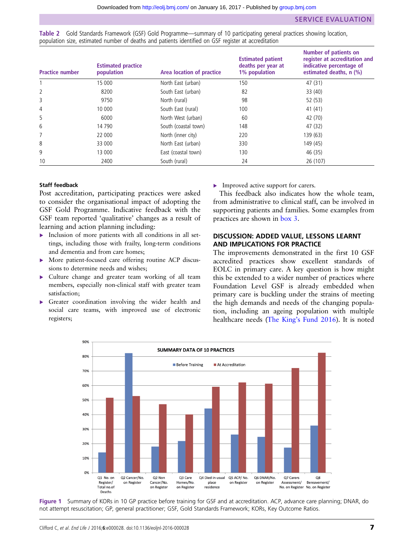<span id="page-6-0"></span>Table 2 Gold Standards Framework (GSF) Gold Programme—summary of 10 participating general practices showing location, population size, estimated number of deaths and patients identified on GSF register at accreditation

| <b>Practice number</b> | <b>Estimated practice</b><br>population | Area location of practice | <b>Estimated patient</b><br>deaths per year at<br>1% population | <b>Number of patients on</b><br>register at accreditation and<br>indicative percentage of<br>estimated deaths, n (%) |
|------------------------|-----------------------------------------|---------------------------|-----------------------------------------------------------------|----------------------------------------------------------------------------------------------------------------------|
|                        | 15 000                                  | North East (urban)        | 150                                                             | 47 (31)                                                                                                              |
| 2                      | 8200                                    | South East (urban)        | 82                                                              | 33 (40)                                                                                                              |
| 3                      | 9750                                    | North (rural)             | 98                                                              | 52 (53)                                                                                                              |
| 4                      | 10 000                                  | South East (rural)        | 100                                                             | 41 (41)                                                                                                              |
| 5                      | 6000                                    | North West (urban)        | 60                                                              | 42 (70)                                                                                                              |
| 6                      | 14 790                                  | South (coastal town)      | 148                                                             | 47 (32)                                                                                                              |
| 7                      | 22 000                                  | North (inner city)        | 220                                                             | 139 (63)                                                                                                             |
| 8                      | 33 000                                  | North East (urban)        | 330                                                             | 149 (45)                                                                                                             |
| 9                      | 13 000                                  | East (coastal town)       | 130                                                             | 46 (35)                                                                                                              |
| 10                     | 2400                                    | South (rural)             | 24                                                              | 26 (107)                                                                                                             |

#### Staff feedback

Post accreditation, participating practices were asked to consider the organisational impact of adopting the GSF Gold Programme. Indicative feedback with the GSF team reported 'qualitative' changes as a result of learning and action planning including:

- ▸ Inclusion of more patients with all conditions in all settings, including those with frailty, long-term conditions and dementia and from care homes;
- ▸ More patient-focused care offering routine ACP discussions to determine needs and wishes;
- ▸ Culture change and greater team working of all team members, especially non-clinical staff with greater team satisfaction;
- ▸ Greater coordination involving the wider health and social care teams, with improved use of electronic registers;

▸ Improved active support for carers.

This feedback also indicates how the whole team, from administrative to clinical staff, can be involved in supporting patients and families. Some examples from practices are shown in [box 3](#page-3-0).

#### DISCUSSION: ADDED VALUE, LESSONS LEARNT AND IMPLICATIONS FOR PRACTICE

The improvements demonstrated in the first 10 GSF accredited practices show excellent standards of EOLC in primary care. A key question is how might this be extended to a wider number of practices where Foundation Level GSF is already embedded when primary care is buckling under the strains of meeting the high demands and needs of the changing population, including an ageing population with multiple healthcare needs (The King'[s Fund 2016\)](#page-9-0). It is noted



Figure 1 Summary of KORs in 10 GP practice before training for GSF and at accreditation. ACP, advance care planning; DNAR, do not attempt resuscitation; GP, general practitioner; GSF, Gold Standards Framework; KORs, Key Outcome Ratios.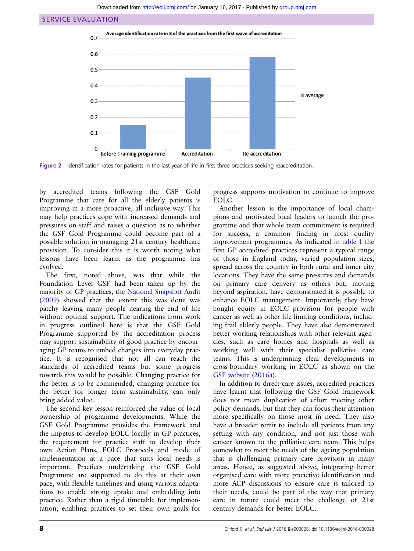<span id="page-7-0"></span>

Figure 2 Identification rates for patients in the last year of life in first three practices seeking reaccreditation.

by accredited teams following the GSF Gold Programme that care for all the elderly patients is improving in a more proactive, all inclusive way. This may help practices cope with increased demands and pressures on staff and raises a question as to whether the GSF Gold Programme could become part of a possible solution in managing 21st century healthcare provision. To consider this it is worth noting what lessons have been learnt as the programme has evolved.

The first, noted above, was that while the Foundation Level GSF had been taken up by the majority of GP practices, the [National Snapshot Audit](#page-9-0) [\(2009\)](#page-9-0) showed that the extent this was done was patchy leaving many people nearing the end of life without optimal support. The indications from work in progress outlined here is that the GSF Gold Programme supported by the accreditation process may support sustainability of good practice by encouraging GP teams to embed changes into everyday practice. It is recognised that not all can reach the standards of accredited teams but some progress towards this would be possible. Changing practice for the better is to be commended, changing practice for the better for longer term sustainability, can only bring added value.

The second key lesson reinforced the value of local ownership of programme developments. While the GSF Gold Programme provides the framework and the impetus to develop EOLC locally in GP practices, the requirement for practice staff to develop their own Action Plans, EOLC Protocols and mode of implementation at a pace that suits local needs is important. Practices undertaking the GSF Gold Programme are supported to do this at their own pace, with flexible timelines and using various adaptations to enable strong uptake and embedding into practice. Rather than a rigid timetable for implementation, enabling practices to set their own goals for

progress supports motivation to continue to improve EOLC.

Another lesson is the importance of local champions and motivated local leaders to launch the programme and that whole team commitment is required for success, a common finding in most quality improvement programmes. As indicated in [table 1](#page-2-0) the first GP accredited practices represent a typical range of those in England today, varied population sizes, spread across the country in both rural and inner city locations. They have the same pressures and demands on primary care delivery as others but, moving beyond aspiration, have demonstrated it is possible to enhance EOLC management. Importantly, they have bought equity in EOLC provision for people with cancer as well as other life-limiting conditions, including frail elderly people. They have also demonstrated better working relationships with other relevant agencies, such as care homes and hospitals as well as working well with their specialist palliative care teams. This is underpinning clear developments in cross-boundary working in EOLC as shown on the [GSF website \(2016a\).](#page-8-0)

In addition to direct-care issues, accredited practices have learnt that following the GSF Gold framework does not mean duplication of effort meeting other policy demands, but that they can focus their attention more specifically on those most in need. They also have a broader remit to include all patients from any setting with any condition, and not just those with cancer known to the palliative care team. This helps somewhat to meet the needs of the ageing population that is challenging primary care provision in many areas. Hence, as suggested above, integrating better organised care with more proactive identification and more ACP discussions to ensure care is tailored to their needs, could be part of the way that primary care in future could meet the challenge of 21st century demands for better EOLC.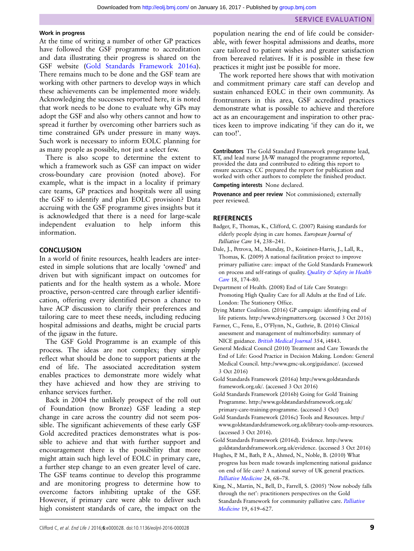#### <span id="page-8-0"></span>Work in progress

At the time of writing a number of other GP practices have followed the GSF programme to accreditation and data illustrating their progress is shared on the GSF website (Gold Standards Framework 2016a). There remains much to be done and the GSF team are working with other partners to develop ways in which these achievements can be implemented more widely. Acknowledging the successes reported here, it is noted that work needs to be done to evaluate why GPs may adopt the GSF and also why others cannot and how to spread it further by overcoming other barriers such as time constrained GPs under pressure in many ways. Such work is necessary to inform EOLC planning for as many people as possible, not just a select few.

There is also scope to determine the extent to which a framework such as GSF can impact on wider cross-boundary care provision (noted above). For example, what is the impact in a locality if primary care teams, GP practices and hospitals were all using the GSF to identify and plan EOLC provision? Data accruing with the GSF programme gives insights but it is acknowledged that there is a need for large-scale independent evaluation to help inform this information.

#### **CONCLUSION**

In a world of finite resources, health leaders are interested in simple solutions that are locally 'owned' and driven but with significant impact on outcomes for patients and for the health system as a whole. More proactive, person-centred care through earlier identification, offering every identified person a chance to have ACP discussion to clarify their preferences and tailoring care to meet these needs, including reducing hospital admissions and deaths, might be crucial parts of the jigsaw in the future.

The GSF Gold Programme is an example of this process. The ideas are not complex; they simply reflect what should be done to support patients at the end of life. The associated accreditation system enables practices to demonstrate more widely what they have achieved and how they are striving to enhance services further.

Back in 2004 the unlikely prospect of the roll out of Foundation (now Bronze) GSF leading a step change in care across the country did not seem possible. The significant achievements of these early GSF Gold accredited practices demonstrates what is possible to achieve and that with further support and encouragement there is the possibility that more might attain such high level of EOLC in primary care, a further step change to an even greater level of care. The GSF teams continue to develop this programme and are monitoring progress to determine how to overcome factors inhibiting uptake of the GSF. However, if primary care were able to deliver such high consistent standards of care, the impact on the

population nearing the end of life could be considerable, with fewer hospital admissions and deaths, more care tailored to patient wishes and greater satisfaction from bereaved relatives. If it is possible in these few practices it might just be possible for more.

The work reported here shows that with motivation and commitment primary care staff can develop and sustain enhanced EOLC in their own community. As frontrunners in this area, GSF accredited practices demonstrate what is possible to achieve and therefore act as an encouragement and inspiration to other practices keen to improve indicating 'if they can do it, we can too!'.

Contributors The Gold Standard Framework programme lead, KT, and lead nurse JA-W managed the programme reported, provided the data and contributed to editing this report to ensure accuracy. CC prepared the report for publication and worked with other authors to complete the finished product. Competing interests None declared.

Provenance and peer review Not commissioned; externally peer reviewed.

#### **REFERENCES**

- Badger, F., Thomas, K., Clifford, C. (2007) Raising standards for elderly people dying in care homes. European Journal of Palliative Care 14, 238–241.
- Dale, J., Petrova, M., Munday, D., Koistinen-Harris, J., Lall, R., Thomas, K. (2009) A national facilitation project to improve primary palliative care: impact of the Gold Standards Framework on process and self-ratings of quality. Quality  $\mathcal O$  Safety in Health [Care](http://dx.doi.org/10.1136/qshc.2007.024836) 18, 174–80.
- Department of Health. (2008) End of Life Care Strategy: Promoting High Quality Care for all Adults at the End of Life. London: The Stationery Office.
- Dying Matter Coalition. (2016) GP campaign: identifying end of life patients.<http://www.dyingmatters.org.> (accessed 3 Oct 2016)
- Farmer, C., Fenu, E., O'Flynn, N., Guthrie, B. (2016) Clinical assessment and management of multimorbidity: summary of NICE guidance. [British Medical Journal](http://dx.doi.org/10.1136/bmj.i4843) 354, i4843.
- General Medical Council (2010) Treatment and Care Towards the End of Life: Good Practice in Decision Making. London: General Medical Council.<http://www.gmc-uk.org/guidance/>. (accessed 3 Oct 2016)
- Gold Standards Framework (2016a) [http://www.goldstandards](http://www.goldstandardsframework.org.uk/) [framework.org.uk/.](http://www.goldstandardsframework.org.uk/) (accessed 3 Oct 2016)
- Gold Standards Framework (2016b) Going for Gold Training Programme. [http://www.goldstandardsframework.org.uk/](http://www.goldstandardsframework.org.uk/primary-care-training-programme) [primary-care-training-programme.](http://www.goldstandardsframework.org.uk/primary-care-training-programme) (accessed 3 Oct)
- Gold Standards Framework (2016c) Tools and Resources. [http://](http://www.goldstandardsframework.org.uk/library-tools-amp-resources.) [www.goldstandardsframework.org.uk/library-tools-amp-resources.](http://www.goldstandardsframework.org.uk/library-tools-amp-resources.) (accessed 3 Oct 2016).
- Gold Standards Framework (2016d). Evidence. [http://www.](http://www.goldstandardsframework.org.uk/evidence.) [goldstandardsframework.org.uk/evidence.](http://www.goldstandardsframework.org.uk/evidence.) (accessed 3 Oct 2016)
- Hughes, P. M., Bath, P. A., Ahmed, N., Noble, B. (2010) What progress has been made towards implementing national guidance on end of life care? A national survey of UK general practices. [Palliative Medicine](http://dx.doi.org/10.1177/0269216309346591) 24, 68–78.
- King, N., Martin, N., Bell, D., Farrell, S. (2005) 'Now nobody falls through the net': practitioners perspectives on the Gold Standards Framework for community palliative care. [Palliative](http://dx.doi.org/10.1191/0269216305pm1084oa) [Medicine](http://dx.doi.org/10.1191/0269216305pm1084oa) 19, 619–627.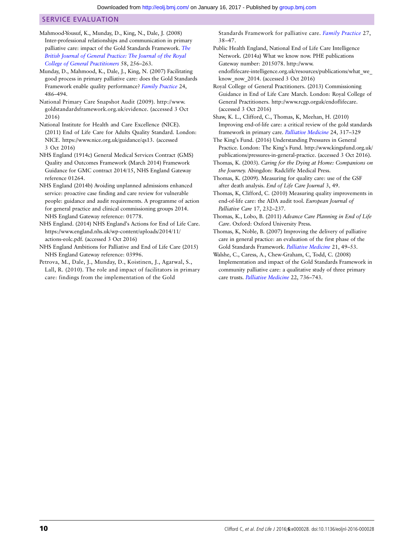<span id="page-9-0"></span>Mahmood-Yousuf, K., Munday, D., King, N., Dale, J. (2008) Inter-professional relationships and communication in primary palliative care: impact of the Gold Standards Framework. [The](http://dx.doi.org/10.3399/bjgp08X279760) [British Journal of General Practice: The Journal of the Royal](http://dx.doi.org/10.3399/bjgp08X279760) [College of General Practitioners](http://dx.doi.org/10.3399/bjgp08X279760) 58, 256–263.

Munday, D., Mahmood, K., Dale, J., King, N. (2007) Facilitating good process in primary palliative care: does the Gold Standards Framework enable quality performance? [Family Practice](http://dx.doi.org/10.1093/fampra/cmm045) 24, 486–494.

National Primary Care Snapshot Audit (2009). [http://www.](http://www.goldstandardsframework.org.uk/evidence.) [goldstandardsframework.org.uk/evidence.](http://www.goldstandardsframework.org.uk/evidence.) (accessed 3 Oct 2016)

National Institute for Health and Care Excellence (NICE). (2011) End of Life Care for Adults Quality Standard. London: NICE. [https://www.nice.org.uk/guidance/qs13.](https://www.nice.org.uk/guidance/qs13) (accessed 3 Oct 2016)

NHS England (1914c) General Medical Services Contract (GMS) Quality and Outcomes Framework (March 2014) Framework Guidance for GMC contract 2014/15, NHS England Gateway reference 01264.

NHS England (2014b) Avoiding unplanned admissions enhanced service: proactive case finding and care review for vulnerable people: guidance and audit requirements. A programme of action for general practice and clinical commissioning groups 2014. NHS England Gateway reference: 01778.

NHS England. (2014) NHS England's Actions for End of Life Care. [https://www.england.nhs.uk/wp-content/uploads/2014/11/](https://www.england.nhs.uk/wp-content/uploads/2014/11/actions-eolc.pdf) [actions-eolc.pdf.](https://www.england.nhs.uk/wp-content/uploads/2014/11/actions-eolc.pdf) (accessed 3 Oct 2016)

NHS England Ambitions for Palliative and End of Life Care (2015) NHS England Gateway reference: 03996.

Petrova, M., Dale, J., Munday, D., Koistinen, J., Agarwal, S., Lall, R. (2010). The role and impact of facilitators in primary care: findings from the implementation of the Gold

Standards Framework for palliative care. [Family Practice](http://dx.doi.org/10.1093/fampra/cmp066) 27, 38–47.

Public Health England, National End of Life Care Intelligence Network. (2014a) What we know now. PHE publications Gateway number: 2015078. [http://www.](http://www.endoflifecare-intelligence.org.uk/resources/publications/what_we_know_now_2014.) [endoflifecare-intelligence.org.uk/resources/publications/what\\_we\\_](http://www.endoflifecare-intelligence.org.uk/resources/publications/what_we_know_now_2014.) know now 2014. (accessed 3 Oct 2016)

Royal College of General Practitioners. (2013) Commissioning Guidance in End of Life Care March. London: Royal College of General Practitioners. [http://www.rcgp.orguk/endoflifecare.](http://www.rcgp.orguk/endoflifecare) (accessed 3 Oct 2016)

Shaw, K. L., Clifford, C., Thomas, K, Meehan, H. (2010) Improving end-of-life care: a critical review of the gold standards framework in primary care. [Palliative Medicine](http://dx.doi.org/10.1177/0269216310362005) 24, 317–329

The King's Fund. (2016) Understanding Pressures in General Practice. London: The King's Fund. [http://www.kingsfund.org.uk/](http://www.kingsfund.org.uk/publications/pressures-in-general-practice.) [publications/pressures-in-general-practice.](http://www.kingsfund.org.uk/publications/pressures-in-general-practice.) (accessed 3 Oct 2016).

Thomas, K. (2003). Caring for the Dying at Home: Companions on the Journey. Abingdon: Radcliffe Medical Press.

Thomas, K. (2009). Measuring for quality care: use of the GSF after death analysis. End of Life Care Journal 3, 49.

Thomas, K, Clifford, C. (2010) Measuring quality improvements in end-of-life care: the ADA audit tool. European Journal of Palliative Care 17, 232–237.

Thomas, K., Lobo, B. (2011) Advance Care Planning in End of Life Care. Oxford: Oxford University Press.

Thomas, K, Noble, B. (2007) Improving the delivery of palliative care in general practice: an evaluation of the first phase of the Gold Standards Framework. [Palliative Medicine](http://dx.doi.org/10.1177/0269216306072501) 21, 49–53.

Walshe, C., Caress, A., Chew-Graham, C, Todd, C. (2008) Implementation and impact of the Gold Standards Framework in community palliative care: a qualitative study of three primary care trusts. [Palliative Medicine](http://dx.doi.org/10.1177/0269216308094103) 22, 736–743.